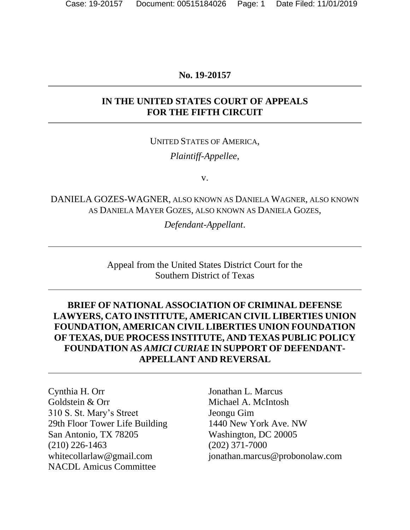#### **No. 19-20157**

### **IN THE UNITED STATES COURT OF APPEALS FOR THE FIFTH CIRCUIT**

# UNITED STATES OF AMERICA, *Plaintiff-Appellee*,

v.

DANIELA GOZES-WAGNER, ALSO KNOWN AS DANIELA WAGNER, ALSO KNOWN AS DANIELA MAYER GOZES, ALSO KNOWN AS DANIELA GOZES,

*Defendant-Appellant*.

Appeal from the United States District Court for the Southern District of Texas

## **BRIEF OF NATIONAL ASSOCIATION OF CRIMINAL DEFENSE LAWYERS, CATO INSTITUTE, AMERICAN CIVIL LIBERTIES UNION FOUNDATION, AMERICAN CIVIL LIBERTIES UNION FOUNDATION OF TEXAS, DUE PROCESS INSTITUTE, AND TEXAS PUBLIC POLICY FOUNDATION AS** *AMICI CURIAE* **IN SUPPORT OF DEFENDANT-APPELLANT AND REVERSAL**

Cynthia H. Orr Goldstein & Orr 310 S. St. Mary's Street 29th Floor Tower Life Building San Antonio, TX 78205 (210) 226-1463 [whitecollarlaw@gmail.com](mailto:whitecollarlaw@gmail.com) NACDL Amicus Committee

Jonathan L. Marcus Michael A. McIntosh Jeongu Gim 1440 New York Ave. NW Washington, DC 20005 (202) 371-7000 jonathan.marcus@probonolaw.com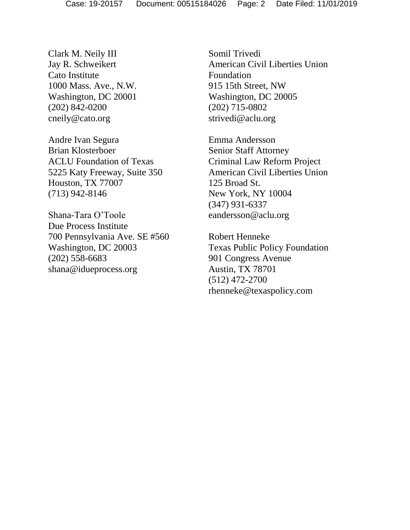Clark M. Neily III Jay R. Schweikert Cato Institute 1000 Mass. Ave., N.W. Washington, DC 20001 (202) 842-0200 cneily@cato.org

Andre Ivan Segura Brian Klosterboer ACLU Foundation of Texas 5225 Katy Freeway, Suite 350 Houston, TX 77007 (713) 942-8146

Shana-Tara O'Toole Due Process Institute 700 Pennsylvania Ave. SE #560 Washington, DC 20003 (202) 558-6683 shana@idueprocess.org

Somil Trivedi American Civil Liberties Union Foundation 915 15th Street, NW Washington, DC 20005 (202) 715-0802 strivedi@aclu.org

Emma Andersson Senior Staff Attorney Criminal Law Reform Project American Civil Liberties Union 125 Broad St. New York, NY 10004 (347) 931-6337 eandersson@aclu.org

Robert Henneke Texas Public Policy Foundation 901 Congress Avenue Austin, TX 78701 (512) 472-2700 rhenneke@texaspolicy.com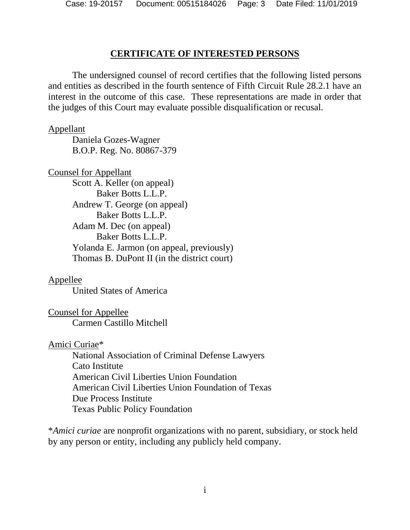#### **CERTIFICATE OF INTERESTED PERSONS**

The undersigned counsel of record certifies that the following listed persons and entities as described in the fourth sentence of Fifth Circuit Rule 28.2.1 have an interest in the outcome of this case. These representations are made in order that the judges of this Court may evaluate possible disqualification or recusal.

#### Appellant

Daniela Gozes-Wagner B.O.P. Reg. No. 80867-379

Counsel for Appellant

Scott A. Keller (on appeal) Baker Botts L.L.P. Andrew T. George (on appeal) Baker Botts L.L.P. Adam M. Dec (on appeal) Baker Botts L.L.P. Yolanda E. Jarmon (on appeal, previously) Thomas B. DuPont II (in the district court)

#### Appellee

United States of America

Counsel for Appellee Carmen Castillo Mitchell

#### Amici Curiae\*

National Association of Criminal Defense Lawyers Cato Institute American Civil Liberties Union Foundation American Civil Liberties Union Foundation of Texas Due Process Institute Texas Public Policy Foundation

\**Amici curiae* are nonprofit organizations with no parent, subsidiary, or stock held by any person or entity, including any publicly held company.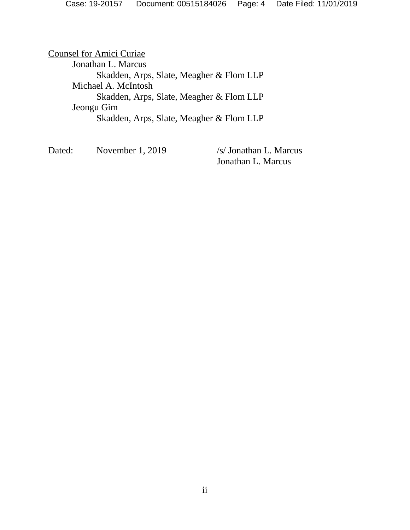Counsel for Amici Curiae Jonathan L. Marcus Skadden, Arps, Slate, Meagher & Flom LLP Michael A. McIntosh Skadden, Arps, Slate, Meagher & Flom LLP Jeongu Gim Skadden, Arps, Slate, Meagher & Flom LLP

Dated: November 1, 2019 /s/ Jonathan L. Marcus

Jonathan L. Marcus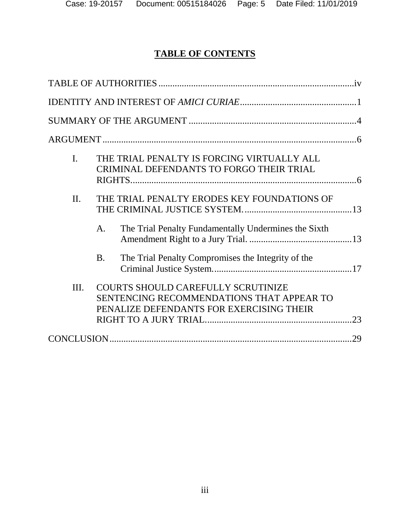# **TABLE OF CONTENTS**

| $\mathbf{I}$ . | THE TRIAL PENALTY IS FORCING VIRTUALLY ALL<br>CRIMINAL DEFENDANTS TO FORGO THEIR TRIAL                                      |     |
|----------------|-----------------------------------------------------------------------------------------------------------------------------|-----|
| II.            | THE TRIAL PENALTY ERODES KEY FOUNDATIONS OF                                                                                 |     |
|                | The Trial Penalty Fundamentally Undermines the Sixth<br>A.                                                                  |     |
|                | The Trial Penalty Compromises the Integrity of the<br><b>B.</b>                                                             |     |
| Ш.             | COURTS SHOULD CAREFULLY SCRUTINIZE<br>SENTENCING RECOMMENDATIONS THAT APPEAR TO<br>PENALIZE DEFENDANTS FOR EXERCISING THEIR |     |
|                |                                                                                                                             | .29 |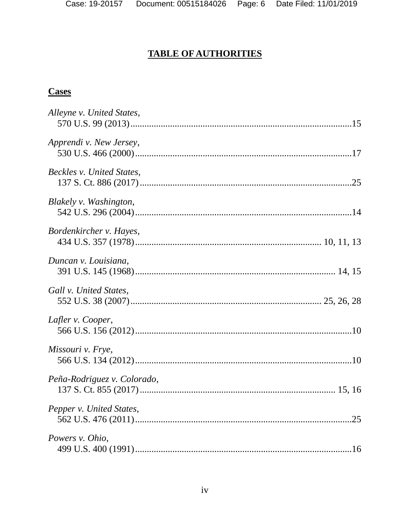# **TABLE OF AUTHORITIES**

# <span id="page-5-0"></span>**Cases**

| Alleyne v. United States,   |  |
|-----------------------------|--|
| Apprendi v. New Jersey,     |  |
| Beckles v. United States,   |  |
| Blakely v. Washington,      |  |
| Bordenkircher v. Hayes,     |  |
| Duncan v. Louisiana,        |  |
| Gall v. United States,      |  |
| Lafler v. Cooper,           |  |
| Missouri v. Frye,           |  |
| Peña-Rodriguez v. Colorado, |  |
| Pepper v. United States,    |  |
| Powers v. Ohio,             |  |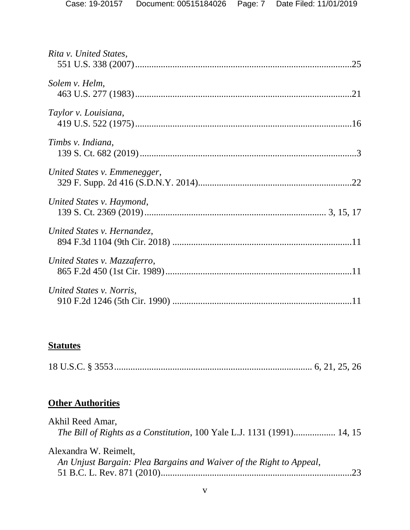| Rita v. United States,       |  |
|------------------------------|--|
| Solem v. Helm,               |  |
| Taylor v. Louisiana,         |  |
| Timbs v. Indiana,            |  |
| United States v. Emmenegger, |  |
| United States v. Haymond,    |  |
| United States v. Hernandez,  |  |
| United States v. Mazzaferro, |  |
| United States v. Norris,     |  |

# **Statutes**

|--|--|--|--|

# **Other Authorities**

| Akhil Reed Amar,                                                              |    |
|-------------------------------------------------------------------------------|----|
| <i>The Bill of Rights as a Constitution, 100 Yale L.J. 1131 (1991) 14, 15</i> |    |
| Alexandra W. Reimelt,                                                         |    |
| An Unjust Bargain: Plea Bargains and Waiver of the Right to Appeal,           |    |
|                                                                               | 23 |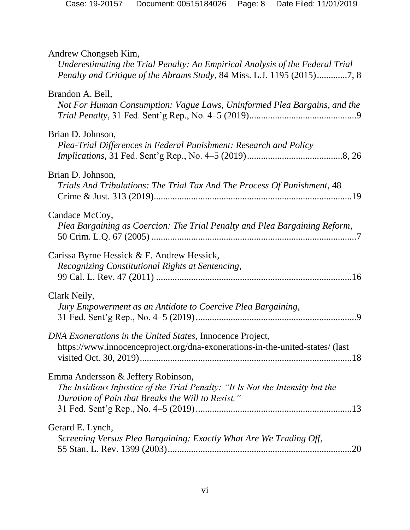| Andrew Chongseh Kim,<br>Underestimating the Trial Penalty: An Empirical Analysis of the Federal Trial<br>Penalty and Critique of the Abrams Study, 84 Miss. L.J. 1195 (2015)7, 8 |
|----------------------------------------------------------------------------------------------------------------------------------------------------------------------------------|
| Brandon A. Bell,<br>Not For Human Consumption: Vague Laws, Uninformed Plea Bargains, and the                                                                                     |
| Brian D. Johnson,<br>Plea-Trial Differences in Federal Punishment: Research and Policy                                                                                           |
| Brian D. Johnson,<br>Trials And Tribulations: The Trial Tax And The Process Of Punishment, 48                                                                                    |
| Candace McCoy,<br>Plea Bargaining as Coercion: The Trial Penalty and Plea Bargaining Reform,                                                                                     |
| Carissa Byrne Hessick & F. Andrew Hessick,<br>Recognizing Constitutional Rights at Sentencing,                                                                                   |
| Clark Neily,<br>Jury Empowerment as an Antidote to Coercive Plea Bargaining,                                                                                                     |
| DNA Exonerations in the United States, Innocence Project,<br>https://www.innocenceproject.org/dna-exonerations-in-the-united-states/ (last                                       |
| Emma Andersson & Jeffery Robinson,<br>The Insidious Injustice of the Trial Penalty: "It Is Not the Intensity but the<br>Duration of Pain that Breaks the Will to Resist,"        |
| Gerard E. Lynch,<br>Screening Versus Plea Bargaining: Exactly What Are We Trading Off,                                                                                           |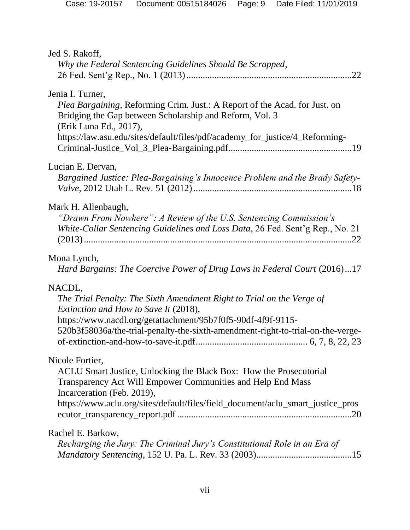| Jed S. Rakoff,<br>Why the Federal Sentencing Guidelines Should Be Scrapped,                                                                                                                                                                                                 |
|-----------------------------------------------------------------------------------------------------------------------------------------------------------------------------------------------------------------------------------------------------------------------------|
| Jenia I. Turner,<br>Plea Bargaining, Reforming Crim. Just.: A Report of the Acad. for Just. on<br>Bridging the Gap between Scholarship and Reform, Vol. 3<br>(Erik Luna Ed., 2017),<br>https://law.asu.edu/sites/default/files/pdf/academy_for_justice/4_Reforming-         |
| Lucian E. Dervan,<br>Bargained Justice: Plea-Bargaining's Innocence Problem and the Brady Safety-                                                                                                                                                                           |
| Mark H. Allenbaugh,<br>"Drawn From Nowhere": A Review of the U.S. Sentencing Commission's<br>White-Collar Sentencing Guidelines and Loss Data, 26 Fed. Sent'g Rep., No. 21                                                                                                  |
| Mona Lynch,<br>Hard Bargains: The Coercive Power of Drug Laws in Federal Court (2016)17                                                                                                                                                                                     |
| NACDL,<br>The Trial Penalty: The Sixth Amendment Right to Trial on the Verge of<br>Extinction and How to Save It (2018),<br>https://www.nacdl.org/getattachment/95b7f0f5-90df-4f9f-9115-<br>520b3f58036a/the-trial-penalty-the-sixth-amendment-right-to-trial-on-the-verge- |
| Nicole Fortier,<br>ACLU Smart Justice, Unlocking the Black Box: How the Prosecutorial<br>Transparency Act Will Empower Communities and Help End Mass<br>Incarceration (Feb. 2019),<br>https://www.aclu.org/sites/default/files/field_document/aclu_smart_justice_pros       |
| Rachel E. Barkow,<br>Recharging the Jury: The Criminal Jury's Constitutional Role in an Era of                                                                                                                                                                              |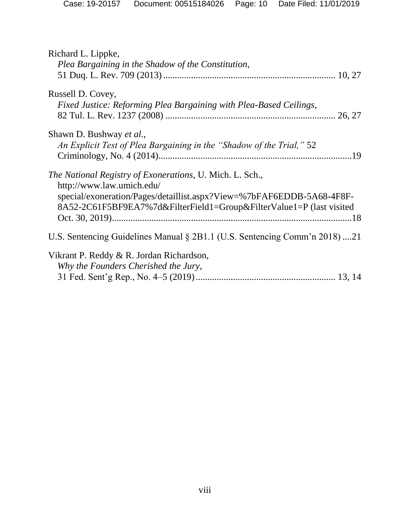| Richard L. Lippke,<br>Plea Bargaining in the Shadow of the Constitution,                                                                                                                                                               |
|----------------------------------------------------------------------------------------------------------------------------------------------------------------------------------------------------------------------------------------|
| Russell D. Covey,<br>Fixed Justice: Reforming Plea Bargaining with Plea-Based Ceilings,                                                                                                                                                |
| Shawn D. Bushway et al.,<br>An Explicit Test of Plea Bargaining in the "Shadow of the Trial," 52                                                                                                                                       |
| The National Registry of Exonerations, U. Mich. L. Sch.,<br>http://www.law.umich.edu/<br>special/exoneration/Pages/detaillist.aspx?View=%7bFAF6EDDB-5A68-4F8F-<br>8A52-2C61F5BF9EA7%7d&FilterField1=Group&FilterValue1=P (last visited |
| U.S. Sentencing Guidelines Manual § 2B1.1 (U.S. Sentencing Comm'n 2018) 21                                                                                                                                                             |
| Vikrant P. Reddy & R. Jordan Richardson,<br>Why the Founders Cherished the Jury,                                                                                                                                                       |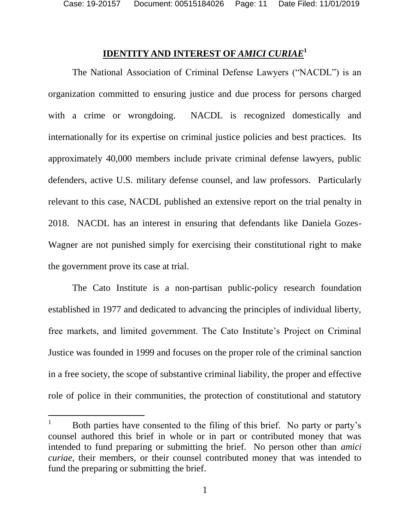$\overline{a}$ 

#### **IDENTITY AND INTEREST OF** *AMICI CURIAE***<sup>1</sup>**

<span id="page-10-0"></span>The National Association of Criminal Defense Lawyers ("NACDL") is an organization committed to ensuring justice and due process for persons charged with a crime or wrongdoing. NACDL is recognized domestically and internationally for its expertise on criminal justice policies and best practices. Its approximately 40,000 members include private criminal defense lawyers, public defenders, active U.S. military defense counsel, and law professors. Particularly relevant to this case, NACDL published an extensive report on the trial penalty in 2018. NACDL has an interest in ensuring that defendants like Daniela Gozes-Wagner are not punished simply for exercising their constitutional right to make the government prove its case at trial.

The Cato Institute is a non-partisan public-policy research foundation established in 1977 and dedicated to advancing the principles of individual liberty, free markets, and limited government. The Cato Institute's Project on Criminal Justice was founded in 1999 and focuses on the proper role of the criminal sanction in a free society, the scope of substantive criminal liability, the proper and effective role of police in their communities, the protection of constitutional and statutory

<sup>&</sup>lt;sup>1</sup> Both parties have consented to the filing of this brief. No party or party's counsel authored this brief in whole or in part or contributed money that was intended to fund preparing or submitting the brief. No person other than *amici curiae*, their members, or their counsel contributed money that was intended to fund the preparing or submitting the brief.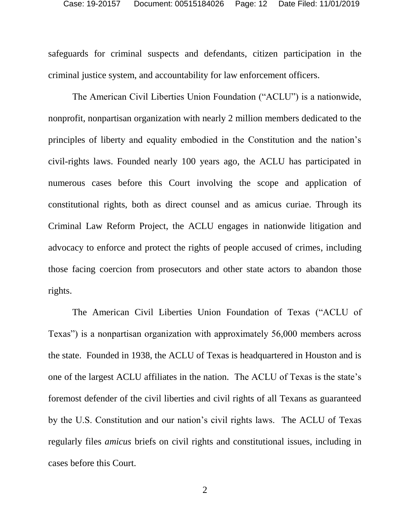safeguards for criminal suspects and defendants, citizen participation in the criminal justice system, and accountability for law enforcement officers.

The American Civil Liberties Union Foundation ("ACLU") is a nationwide, nonprofit, nonpartisan organization with nearly 2 million members dedicated to the principles of liberty and equality embodied in the Constitution and the nation's civil-rights laws. Founded nearly 100 years ago, the ACLU has participated in numerous cases before this Court involving the scope and application of constitutional rights, both as direct counsel and as amicus curiae. Through its Criminal Law Reform Project, the ACLU engages in nationwide litigation and advocacy to enforce and protect the rights of people accused of crimes, including those facing coercion from prosecutors and other state actors to abandon those rights.

The American Civil Liberties Union Foundation of Texas ("ACLU of Texas") is a nonpartisan organization with approximately 56,000 members across the state. Founded in 1938, the ACLU of Texas is headquartered in Houston and is one of the largest ACLU affiliates in the nation. The ACLU of Texas is the state's foremost defender of the civil liberties and civil rights of all Texans as guaranteed by the U.S. Constitution and our nation's civil rights laws. The ACLU of Texas regularly files *amicus* briefs on civil rights and constitutional issues, including in cases before this Court.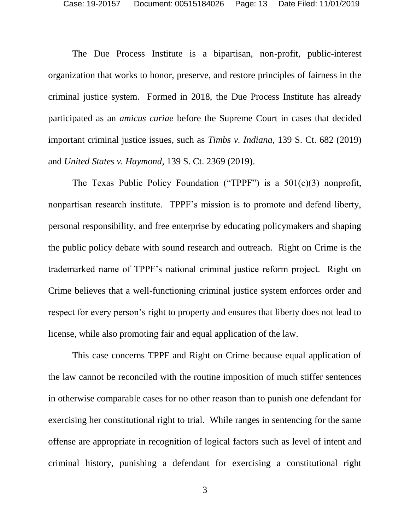The Due Process Institute is a bipartisan, non-profit, public-interest organization that works to honor, preserve, and restore principles of fairness in the criminal justice system. Formed in 2018, the Due Process Institute has already participated as an *amicus curiae* before the Supreme Court in cases that decided important criminal justice issues, such as *Timbs v. Indiana*, 139 S. Ct. 682 (2019) and *United States v. Haymond*, 139 S. Ct. 2369 (2019).

The Texas Public Policy Foundation ("TPPF") is a  $501(c)(3)$  nonprofit, nonpartisan research institute. TPPF's mission is to promote and defend liberty, personal responsibility, and free enterprise by educating policymakers and shaping the public policy debate with sound research and outreach. Right on Crime is the trademarked name of TPPF's national criminal justice reform project. Right on Crime believes that a well-functioning criminal justice system enforces order and respect for every person's right to property and ensures that liberty does not lead to license, while also promoting fair and equal application of the law.

This case concerns TPPF and Right on Crime because equal application of the law cannot be reconciled with the routine imposition of much stiffer sentences in otherwise comparable cases for no other reason than to punish one defendant for exercising her constitutional right to trial. While ranges in sentencing for the same offense are appropriate in recognition of logical factors such as level of intent and criminal history, punishing a defendant for exercising a constitutional right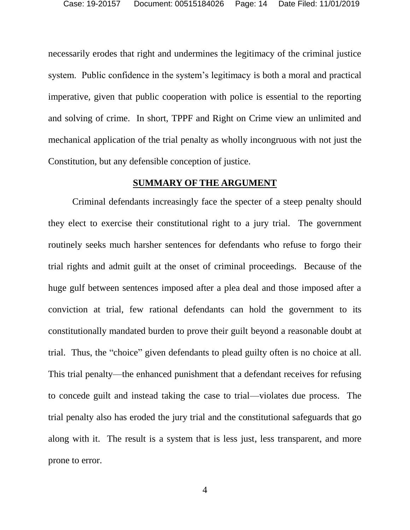necessarily erodes that right and undermines the legitimacy of the criminal justice system. Public confidence in the system's legitimacy is both a moral and practical imperative, given that public cooperation with police is essential to the reporting and solving of crime. In short, TPPF and Right on Crime view an unlimited and mechanical application of the trial penalty as wholly incongruous with not just the Constitution, but any defensible conception of justice.

#### **SUMMARY OF THE ARGUMENT**

<span id="page-13-0"></span>Criminal defendants increasingly face the specter of a steep penalty should they elect to exercise their constitutional right to a jury trial. The government routinely seeks much harsher sentences for defendants who refuse to forgo their trial rights and admit guilt at the onset of criminal proceedings. Because of the huge gulf between sentences imposed after a plea deal and those imposed after a conviction at trial, few rational defendants can hold the government to its constitutionally mandated burden to prove their guilt beyond a reasonable doubt at trial. Thus, the "choice" given defendants to plead guilty often is no choice at all. This trial penalty—the enhanced punishment that a defendant receives for refusing to concede guilt and instead taking the case to trial—violates due process. The trial penalty also has eroded the jury trial and the constitutional safeguards that go along with it. The result is a system that is less just, less transparent, and more prone to error.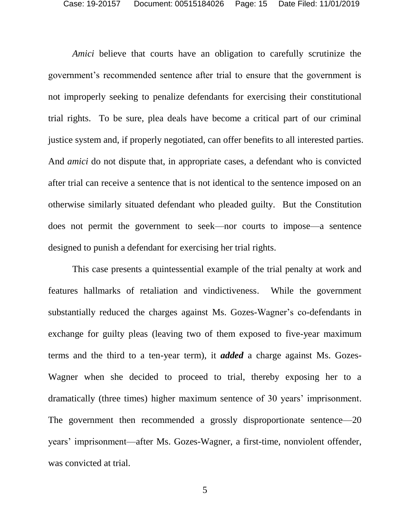*Amici* believe that courts have an obligation to carefully scrutinize the government's recommended sentence after trial to ensure that the government is not improperly seeking to penalize defendants for exercising their constitutional trial rights. To be sure, plea deals have become a critical part of our criminal justice system and, if properly negotiated, can offer benefits to all interested parties. And *amici* do not dispute that, in appropriate cases, a defendant who is convicted after trial can receive a sentence that is not identical to the sentence imposed on an otherwise similarly situated defendant who pleaded guilty. But the Constitution does not permit the government to seek—nor courts to impose—a sentence designed to punish a defendant for exercising her trial rights.

This case presents a quintessential example of the trial penalty at work and features hallmarks of retaliation and vindictiveness. While the government substantially reduced the charges against Ms. Gozes-Wagner's co-defendants in exchange for guilty pleas (leaving two of them exposed to five-year maximum terms and the third to a ten-year term), it *added* a charge against Ms. Gozes-Wagner when she decided to proceed to trial, thereby exposing her to a dramatically (three times) higher maximum sentence of 30 years' imprisonment. The government then recommended a grossly disproportionate sentence—20 years' imprisonment—after Ms. Gozes-Wagner, a first-time, nonviolent offender, was convicted at trial.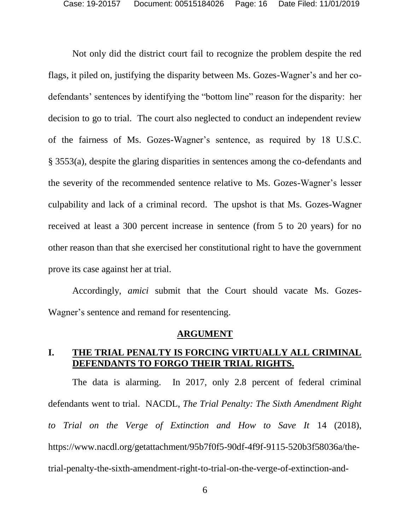Not only did the district court fail to recognize the problem despite the red flags, it piled on, justifying the disparity between Ms. Gozes-Wagner's and her codefendants' sentences by identifying the "bottom line" reason for the disparity: her decision to go to trial. The court also neglected to conduct an independent review of the fairness of Ms. Gozes-Wagner's sentence, as required by 18 U.S.C. § 3553(a), despite the glaring disparities in sentences among the co-defendants and the severity of the recommended sentence relative to Ms. Gozes-Wagner's lesser culpability and lack of a criminal record. The upshot is that Ms. Gozes-Wagner received at least a 300 percent increase in sentence (from 5 to 20 years) for no other reason than that she exercised her constitutional right to have the government prove its case against her at trial.

Accordingly, *amici* submit that the Court should vacate Ms. Gozes-Wagner's sentence and remand for resentencing.

#### **ARGUMENT**

#### <span id="page-15-1"></span><span id="page-15-0"></span>**I. THE TRIAL PENALTY IS FORCING VIRTUALLY ALL CRIMINAL DEFENDANTS TO FORGO THEIR TRIAL RIGHTS.**

The data is alarming. In 2017, only 2.8 percent of federal criminal defendants went to trial. NACDL, *The Trial Penalty: The Sixth Amendment Right to Trial on the Verge of Extinction and How to Save It* 14 (2018), https://www.nacdl.org/getattachment/95b7f0f5-90df-4f9f-9115-520b3f58036a/thetrial-penalty-the-sixth-amendment-right-to-trial-on-the-verge-of-extinction-and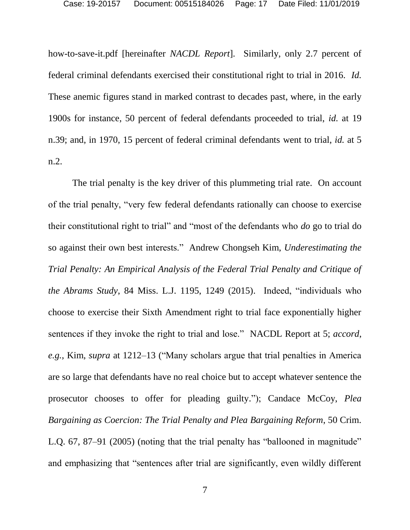how-to-save-it.pdf [hereinafter *NACDL Report*]. Similarly, only 2.7 percent of federal criminal defendants exercised their constitutional right to trial in 2016. *Id.* These anemic figures stand in marked contrast to decades past, where, in the early 1900s for instance, 50 percent of federal defendants proceeded to trial, *id.* at 19 n.39; and, in 1970, 15 percent of federal criminal defendants went to trial, *id.* at 5 n.2.

The trial penalty is the key driver of this plummeting trial rate. On account of the trial penalty, "very few federal defendants rationally can choose to exercise their constitutional right to trial" and "most of the defendants who *do* go to trial do so against their own best interests." Andrew Chongseh Kim, *Underestimating the Trial Penalty: An Empirical Analysis of the Federal Trial Penalty and Critique of the Abrams Study*, 84 Miss. L.J. 1195, 1249 (2015). Indeed, "individuals who choose to exercise their Sixth Amendment right to trial face exponentially higher sentences if they invoke the right to trial and lose." NACDL Report at 5; *accord*, *e.g.*, Kim, *supra* at 1212–13 ("Many scholars argue that trial penalties in America are so large that defendants have no real choice but to accept whatever sentence the prosecutor chooses to offer for pleading guilty."); Candace McCoy, *Plea Bargaining as Coercion: The Trial Penalty and Plea Bargaining Reform*, 50 Crim. L.Q. 67, 87–91 (2005) (noting that the trial penalty has "ballooned in magnitude" and emphasizing that "sentences after trial are significantly, even wildly different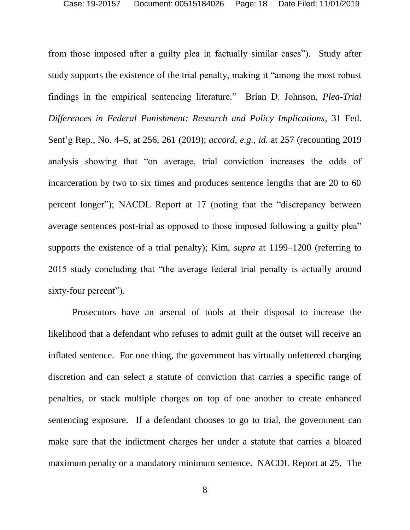from those imposed after a guilty plea in factually similar cases"). Study after study supports the existence of the trial penalty, making it "among the most robust findings in the empirical sentencing literature." Brian D. Johnson, *Plea-Trial Differences in Federal Punishment: Research and Policy Implications*, 31 Fed. Sent'g Rep., No. 4–5, at 256, 261 (2019); *accord*, *e.g.*, *id.* at 257 (recounting 2019 analysis showing that "on average, trial conviction increases the odds of incarceration by two to six times and produces sentence lengths that are 20 to 60 percent longer"); NACDL Report at 17 (noting that the "discrepancy between average sentences post-trial as opposed to those imposed following a guilty plea" supports the existence of a trial penalty); Kim, *supra* at 1199–1200 (referring to 2015 study concluding that "the average federal trial penalty is actually around sixty-four percent").

Prosecutors have an arsenal of tools at their disposal to increase the likelihood that a defendant who refuses to admit guilt at the outset will receive an inflated sentence. For one thing, the government has virtually unfettered charging discretion and can select a statute of conviction that carries a specific range of penalties, or stack multiple charges on top of one another to create enhanced sentencing exposure. If a defendant chooses to go to trial, the government can make sure that the indictment charges her under a statute that carries a bloated maximum penalty or a mandatory minimum sentence. NACDL Report at 25. The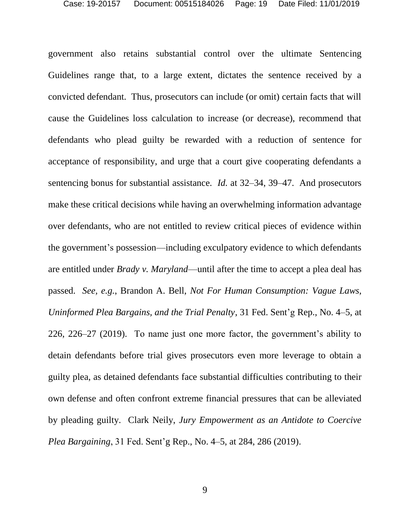government also retains substantial control over the ultimate Sentencing Guidelines range that, to a large extent, dictates the sentence received by a convicted defendant. Thus, prosecutors can include (or omit) certain facts that will cause the Guidelines loss calculation to increase (or decrease), recommend that defendants who plead guilty be rewarded with a reduction of sentence for acceptance of responsibility, and urge that a court give cooperating defendants a sentencing bonus for substantial assistance. *Id.* at 32–34, 39–47. And prosecutors make these critical decisions while having an overwhelming information advantage over defendants, who are not entitled to review critical pieces of evidence within the government's possession—including exculpatory evidence to which defendants are entitled under *Brady v. Maryland*—until after the time to accept a plea deal has passed. *See, e.g.*, Brandon A. Bell, *Not For Human Consumption: Vague Laws, Uninformed Plea Bargains, and the Trial Penalty*, 31 Fed. Sent'g Rep., No. 4–5, at 226, 226–27 (2019). To name just one more factor, the government's ability to detain defendants before trial gives prosecutors even more leverage to obtain a guilty plea, as detained defendants face substantial difficulties contributing to their own defense and often confront extreme financial pressures that can be alleviated by pleading guilty. Clark Neily, *Jury Empowerment as an Antidote to Coercive Plea Bargaining*, 31 Fed. Sent'g Rep., No. 4–5, at 284, 286 (2019).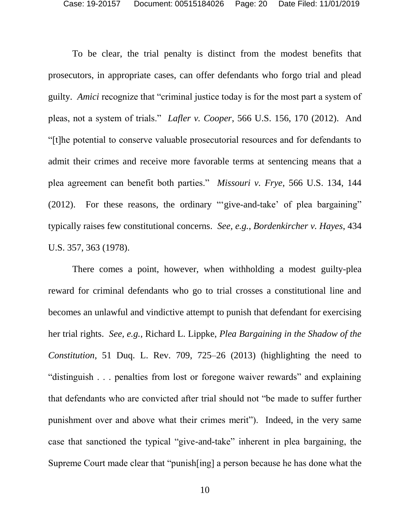To be clear, the trial penalty is distinct from the modest benefits that prosecutors, in appropriate cases, can offer defendants who forgo trial and plead guilty. *Amici* recognize that "criminal justice today is for the most part a system of pleas, not a system of trials." *Lafler v. Cooper*, 566 U.S. 156, 170 (2012). And "[t]he potential to conserve valuable prosecutorial resources and for defendants to admit their crimes and receive more favorable terms at sentencing means that a plea agreement can benefit both parties." *Missouri v. Frye*, 566 U.S. 134, 144 (2012). For these reasons, the ordinary "'give-and-take' of plea bargaining" typically raises few constitutional concerns. *See, e.g.*, *Bordenkircher v. Hayes*, 434 U.S. 357, 363 (1978).

There comes a point, however, when withholding a modest guilty-plea reward for criminal defendants who go to trial crosses a constitutional line and becomes an unlawful and vindictive attempt to punish that defendant for exercising her trial rights. *See, e.g.*, Richard L. Lippke, *Plea Bargaining in the Shadow of the Constitution*, 51 Duq. L. Rev. 709, 725–26 (2013) (highlighting the need to "distinguish . . . penalties from lost or foregone waiver rewards" and explaining that defendants who are convicted after trial should not "be made to suffer further punishment over and above what their crimes merit"). Indeed, in the very same case that sanctioned the typical "give-and-take" inherent in plea bargaining, the Supreme Court made clear that "punish[ing] a person because he has done what the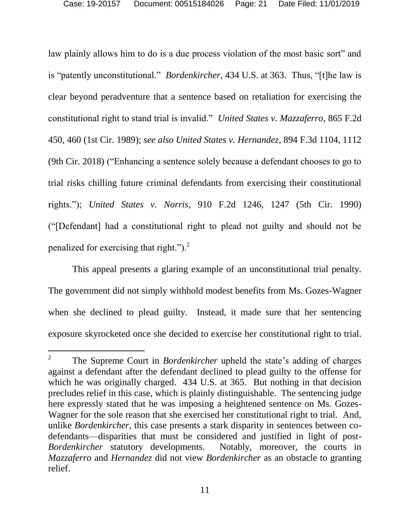law plainly allows him to do is a due process violation of the most basic sort" and is "patently unconstitutional." *Bordenkircher*, 434 U.S. at 363. Thus, "[t]he law is clear beyond peradventure that a sentence based on retaliation for exercising the constitutional right to stand trial is invalid." *United States v. Mazzaferro*, 865 F.2d 450, 460 (1st Cir. 1989); *see also United States v. Hernandez*, 894 F.3d 1104, 1112 (9th Cir. 2018) ("Enhancing a sentence solely because a defendant chooses to go to trial risks chilling future criminal defendants from exercising their constitutional rights."); *United States v. Norris*, 910 F.2d 1246, 1247 (5th Cir. 1990) ("[Defendant] had a constitutional right to plead not guilty and should not be penalized for exercising that right."). $^{2}$ 

This appeal presents a glaring example of an unconstitutional trial penalty. The government did not simply withhold modest benefits from Ms. Gozes-Wagner when she declined to plead guilty. Instead, it made sure that her sentencing exposure skyrocketed once she decided to exercise her constitutional right to trial.

l

<sup>2</sup> The Supreme Court in *Bordenkircher* upheld the state's adding of charges against a defendant after the defendant declined to plead guilty to the offense for which he was originally charged. 434 U.S. at 365. But nothing in that decision precludes relief in this case, which is plainly distinguishable. The sentencing judge here expressly stated that he was imposing a heightened sentence on Ms. Gozes-Wagner for the sole reason that she exercised her constitutional right to trial. And, unlike *Bordenkircher*, this case presents a stark disparity in sentences between codefendants—disparities that must be considered and justified in light of post-*Bordenkircher* statutory developments. Notably, moreover, the courts in *Mazzaferro* and *Hernandez* did not view *Bordenkircher* as an obstacle to granting relief.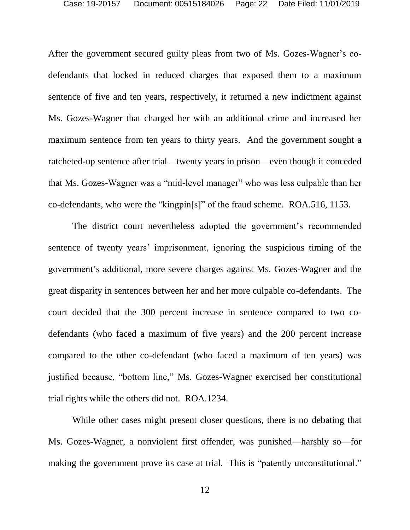After the government secured guilty pleas from two of Ms. Gozes-Wagner's codefendants that locked in reduced charges that exposed them to a maximum sentence of five and ten years, respectively, it returned a new indictment against Ms. Gozes-Wagner that charged her with an additional crime and increased her maximum sentence from ten years to thirty years. And the government sought a ratcheted-up sentence after trial—twenty years in prison—even though it conceded that Ms. Gozes-Wagner was a "mid-level manager" who was less culpable than her co-defendants, who were the "kingpin[s]" of the fraud scheme. ROA.516, 1153.

The district court nevertheless adopted the government's recommended sentence of twenty years' imprisonment, ignoring the suspicious timing of the government's additional, more severe charges against Ms. Gozes-Wagner and the great disparity in sentences between her and her more culpable co-defendants. The court decided that the 300 percent increase in sentence compared to two codefendants (who faced a maximum of five years) and the 200 percent increase compared to the other co-defendant (who faced a maximum of ten years) was justified because, "bottom line," Ms. Gozes-Wagner exercised her constitutional trial rights while the others did not. ROA.1234.

While other cases might present closer questions, there is no debating that Ms. Gozes-Wagner, a nonviolent first offender, was punished—harshly so—for making the government prove its case at trial. This is "patently unconstitutional."

12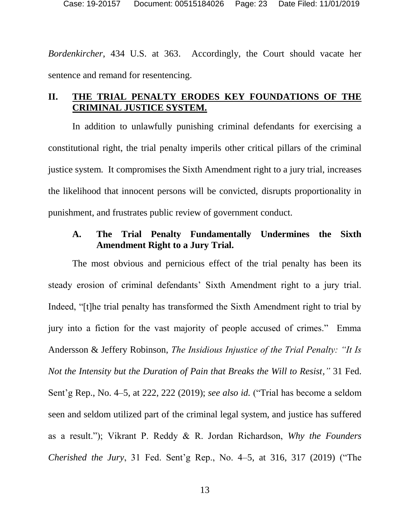*Bordenkircher*, 434 U.S. at 363. Accordingly, the Court should vacate her sentence and remand for resentencing.

#### <span id="page-22-0"></span>**II. THE TRIAL PENALTY ERODES KEY FOUNDATIONS OF THE CRIMINAL JUSTICE SYSTEM.**

In addition to unlawfully punishing criminal defendants for exercising a constitutional right, the trial penalty imperils other critical pillars of the criminal justice system. It compromises the Sixth Amendment right to a jury trial, increases the likelihood that innocent persons will be convicted, disrupts proportionality in punishment, and frustrates public review of government conduct.

#### <span id="page-22-1"></span>**A. The Trial Penalty Fundamentally Undermines the Sixth Amendment Right to a Jury Trial.**

The most obvious and pernicious effect of the trial penalty has been its steady erosion of criminal defendants' Sixth Amendment right to a jury trial. Indeed, "[t]he trial penalty has transformed the Sixth Amendment right to trial by jury into a fiction for the vast majority of people accused of crimes." Emma Andersson & Jeffery Robinson, *The Insidious Injustice of the Trial Penalty: "It Is Not the Intensity but the Duration of Pain that Breaks the Will to Resist,"* 31 Fed. Sent'g Rep., No. 4–5, at 222, 222 (2019); *see also id.* ("Trial has become a seldom seen and seldom utilized part of the criminal legal system, and justice has suffered as a result."); Vikrant P. Reddy & R. Jordan Richardson, *Why the Founders Cherished the Jury*, 31 Fed. Sent'g Rep., No. 4–5, at 316, 317 (2019) ("The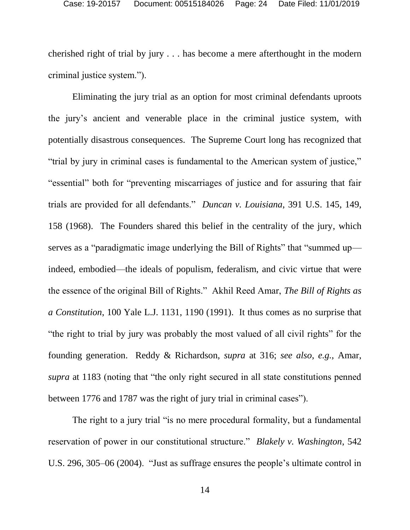cherished right of trial by jury . . . has become a mere afterthought in the modern criminal justice system.").

Eliminating the jury trial as an option for most criminal defendants uproots the jury's ancient and venerable place in the criminal justice system, with potentially disastrous consequences. The Supreme Court long has recognized that "trial by jury in criminal cases is fundamental to the American system of justice," "essential" both for "preventing miscarriages of justice and for assuring that fair trials are provided for all defendants." *Duncan v. Louisiana*, 391 U.S. 145, 149, 158 (1968). The Founders shared this belief in the centrality of the jury, which serves as a "paradigmatic image underlying the Bill of Rights" that "summed up indeed, embodied—the ideals of populism, federalism, and civic virtue that were the essence of the original Bill of Rights." Akhil Reed Amar, *The Bill of Rights as a Constitution*, 100 Yale L.J. 1131, 1190 (1991). It thus comes as no surprise that "the right to trial by jury was probably the most valued of all civil rights" for the founding generation. Reddy & Richardson, *supra* at 316; *see also*, *e.g.*, Amar, *supra* at 1183 (noting that "the only right secured in all state constitutions penned between 1776 and 1787 was the right of jury trial in criminal cases").

The right to a jury trial "is no mere procedural formality, but a fundamental reservation of power in our constitutional structure." *Blakely v. Washington*, 542 U.S. 296, 305–06 (2004). "Just as suffrage ensures the people's ultimate control in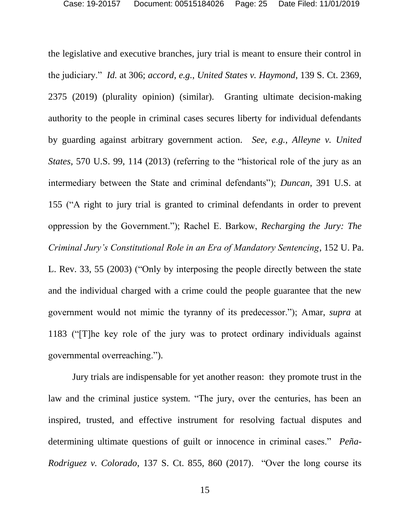the legislative and executive branches, jury trial is meant to ensure their control in the judiciary." *Id.* at 306; *accord*, *e.g.*, *United States v. Haymond*, 139 S. Ct. 2369, 2375 (2019) (plurality opinion) (similar). Granting ultimate decision-making authority to the people in criminal cases secures liberty for individual defendants by guarding against arbitrary government action. *See, e.g.*, *Alleyne v. United States*, 570 U.S. 99, 114 (2013) (referring to the "historical role of the jury as an intermediary between the State and criminal defendants"); *Duncan*, 391 U.S. at 155 ("A right to jury trial is granted to criminal defendants in order to prevent oppression by the Government."); Rachel E. Barkow, *Recharging the Jury: The Criminal Jury's Constitutional Role in an Era of Mandatory Sentencing*, 152 U. Pa. L. Rev. 33, 55 (2003) ("Only by interposing the people directly between the state and the individual charged with a crime could the people guarantee that the new government would not mimic the tyranny of its predecessor."); Amar, *supra* at 1183 ("[T]he key role of the jury was to protect ordinary individuals against governmental overreaching.").

Jury trials are indispensable for yet another reason: they promote trust in the law and the criminal justice system. "The jury, over the centuries, has been an inspired, trusted, and effective instrument for resolving factual disputes and determining ultimate questions of guilt or innocence in criminal cases." *Peña-Rodriguez v. Colorado*, 137 S. Ct. 855, 860 (2017). "Over the long course its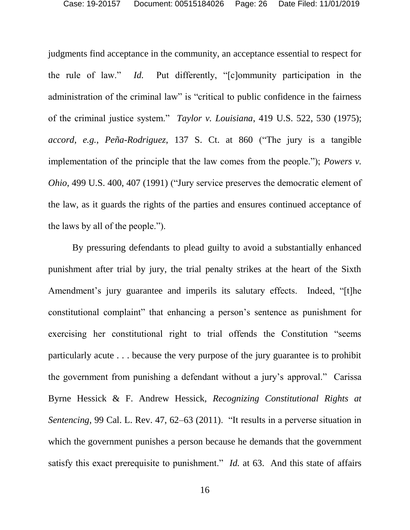judgments find acceptance in the community, an acceptance essential to respect for the rule of law." *Id.* Put differently, "[c]ommunity participation in the administration of the criminal law" is "critical to public confidence in the fairness of the criminal justice system." *Taylor v. Louisiana*, 419 U.S. 522, 530 (1975); *accord*, *e.g.*, *Peña-Rodriguez*, 137 S. Ct. at 860 ("The jury is a tangible implementation of the principle that the law comes from the people."); *Powers v. Ohio*, 499 U.S. 400, 407 (1991) ("Jury service preserves the democratic element of the law, as it guards the rights of the parties and ensures continued acceptance of the laws by all of the people.").

By pressuring defendants to plead guilty to avoid a substantially enhanced punishment after trial by jury, the trial penalty strikes at the heart of the Sixth Amendment's jury guarantee and imperils its salutary effects. Indeed, "[t]he constitutional complaint" that enhancing a person's sentence as punishment for exercising her constitutional right to trial offends the Constitution "seems particularly acute . . . because the very purpose of the jury guarantee is to prohibit the government from punishing a defendant without a jury's approval." Carissa Byrne Hessick & F. Andrew Hessick, *Recognizing Constitutional Rights at Sentencing*, 99 Cal. L. Rev. 47, 62–63 (2011). "It results in a perverse situation in which the government punishes a person because he demands that the government satisfy this exact prerequisite to punishment." *Id.* at 63. And this state of affairs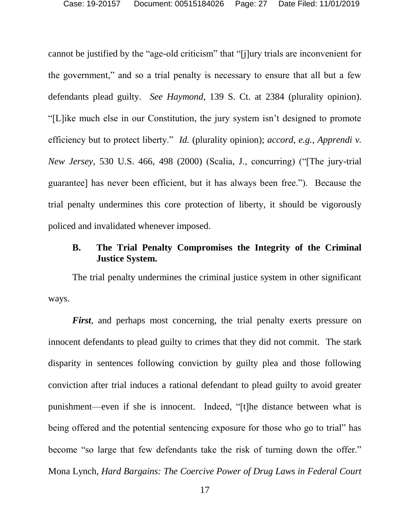cannot be justified by the "age-old criticism" that "[j]ury trials are inconvenient for the government," and so a trial penalty is necessary to ensure that all but a few defendants plead guilty. *See Haymond*, 139 S. Ct. at 2384 (plurality opinion). "[L]ike much else in our Constitution, the jury system isn't designed to promote efficiency but to protect liberty." *Id.* (plurality opinion); *accord*, *e.g.*, *Apprendi v. New Jersey*, 530 U.S. 466, 498 (2000) (Scalia, J., concurring) ("[The jury-trial guarantee] has never been efficient, but it has always been free."). Because the trial penalty undermines this core protection of liberty, it should be vigorously policed and invalidated whenever imposed.

#### <span id="page-26-0"></span>**B. The Trial Penalty Compromises the Integrity of the Criminal Justice System.**

The trial penalty undermines the criminal justice system in other significant ways.

*First*, and perhaps most concerning, the trial penalty exerts pressure on innocent defendants to plead guilty to crimes that they did not commit. The stark disparity in sentences following conviction by guilty plea and those following conviction after trial induces a rational defendant to plead guilty to avoid greater punishment—even if she is innocent. Indeed, "[t]he distance between what is being offered and the potential sentencing exposure for those who go to trial" has become "so large that few defendants take the risk of turning down the offer." Mona Lynch, *Hard Bargains: The Coercive Power of Drug Laws in Federal Court*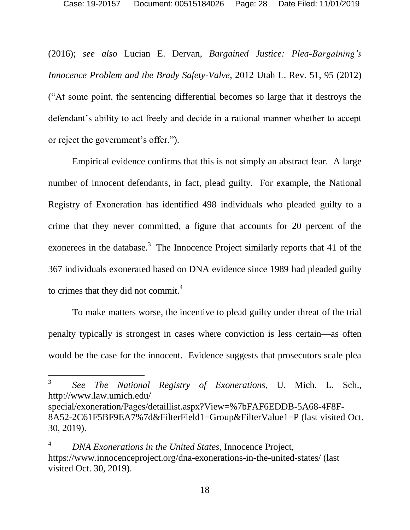(2016); *see also* Lucian E. Dervan, *Bargained Justice: Plea-Bargaining's Innocence Problem and the Brady Safety-Valve*, 2012 Utah L. Rev. 51, 95 (2012) ("At some point, the sentencing differential becomes so large that it destroys the defendant's ability to act freely and decide in a rational manner whether to accept or reject the government's offer.").

Empirical evidence confirms that this is not simply an abstract fear. A large number of innocent defendants, in fact, plead guilty. For example, the National Registry of Exoneration has identified 498 individuals who pleaded guilty to a crime that they never committed, a figure that accounts for 20 percent of the exonerees in the database.<sup>3</sup> The Innocence Project similarly reports that 41 of the 367 individuals exonerated based on DNA evidence since 1989 had pleaded guilty to crimes that they did not commit. 4

To make matters worse, the incentive to plead guilty under threat of the trial penalty typically is strongest in cases where conviction is less certain—as often would be the case for the innocent. Evidence suggests that prosecutors scale plea

l

<sup>3</sup> *See The National Registry of Exonerations*, U. Mich. L. Sch., http://www.law.umich.edu/

special/exoneration/Pages/detaillist.aspx?View=%7bFAF6EDDB-5A68-4F8F-8A52-2C61F5BF9EA7%7d&FilterField1=Group&FilterValue1=P (last visited Oct. 30, 2019).

<sup>4</sup> *DNA Exonerations in the United States*, Innocence Project, https://www.innocenceproject.org/dna-exonerations-in-the-united-states/ (last visited Oct. 30, 2019).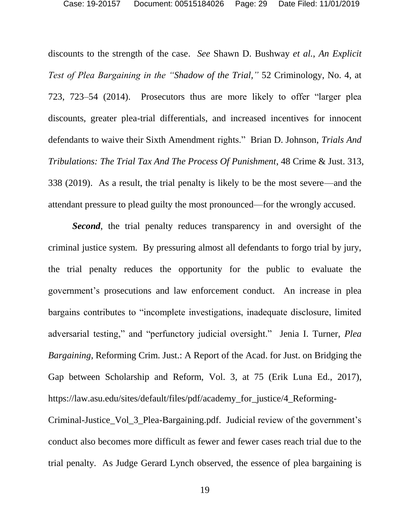discounts to the strength of the case. *See* Shawn D. Bushway *et al.*, *An Explicit Test of Plea Bargaining in the "Shadow of the Trial,"* 52 Criminology, No. 4, at 723, 723–54 (2014). Prosecutors thus are more likely to offer "larger plea discounts, greater plea-trial differentials, and increased incentives for innocent defendants to waive their Sixth Amendment rights." Brian D. Johnson, *Trials And Tribulations: The Trial Tax And The Process Of Punishment*, 48 Crime & Just. 313, 338 (2019). As a result, the trial penalty is likely to be the most severe—and the attendant pressure to plead guilty the most pronounced—for the wrongly accused.

**Second**, the trial penalty reduces transparency in and oversight of the criminal justice system. By pressuring almost all defendants to forgo trial by jury, the trial penalty reduces the opportunity for the public to evaluate the government's prosecutions and law enforcement conduct. An increase in plea bargains contributes to "incomplete investigations, inadequate disclosure, limited adversarial testing," and "perfunctory judicial oversight." Jenia I. Turner, *Plea Bargaining*, Reforming Crim. Just.: A Report of the Acad. for Just. on Bridging the Gap between Scholarship and Reform, Vol. 3, at 75 (Erik Luna Ed., 2017), https://law.asu.edu/sites/default/files/pdf/academy\_for\_justice/4\_Reforming-

Criminal-Justice\_Vol\_3\_Plea-Bargaining.pdf. Judicial review of the government's conduct also becomes more difficult as fewer and fewer cases reach trial due to the trial penalty. As Judge Gerard Lynch observed, the essence of plea bargaining is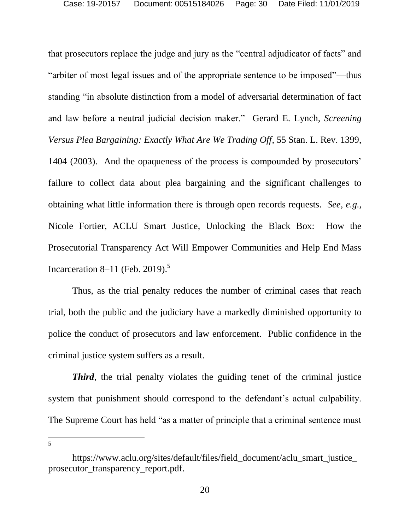that prosecutors replace the judge and jury as the "central adjudicator of facts" and "arbiter of most legal issues and of the appropriate sentence to be imposed"—thus standing "in absolute distinction from a model of adversarial determination of fact and law before a neutral judicial decision maker." Gerard E. Lynch, *Screening Versus Plea Bargaining: Exactly What Are We Trading Off*, 55 Stan. L. Rev. 1399, 1404 (2003). And the opaqueness of the process is compounded by prosecutors' failure to collect data about plea bargaining and the significant challenges to obtaining what little information there is through open records requests. *See, e.g.*, Nicole Fortier, ACLU Smart Justice, Unlocking the Black Box: How the Prosecutorial Transparency Act Will Empower Communities and Help End Mass Incarceration 8–11 (Feb. 2019).<sup>5</sup>

Thus, as the trial penalty reduces the number of criminal cases that reach trial, both the public and the judiciary have a markedly diminished opportunity to police the conduct of prosecutors and law enforcement. Public confidence in the criminal justice system suffers as a result.

*Third*, the trial penalty violates the guiding tenet of the criminal justice system that punishment should correspond to the defendant's actual culpability. The Supreme Court has held "as a matter of principle that a criminal sentence must

 $\overline{a}$ 5

https://www.aclu.org/sites/default/files/field\_document/aclu\_smart\_justice prosecutor\_transparency\_report.pdf.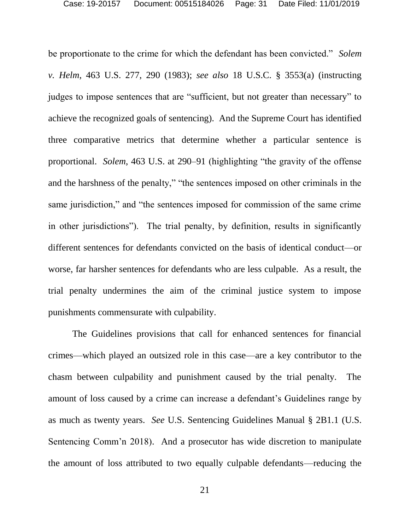be proportionate to the crime for which the defendant has been convicted." *Solem v. Helm*, 463 U.S. 277, 290 (1983); *see also* 18 U.S.C. § 3553(a) (instructing judges to impose sentences that are "sufficient, but not greater than necessary" to achieve the recognized goals of sentencing). And the Supreme Court has identified three comparative metrics that determine whether a particular sentence is proportional. *Solem*, 463 U.S. at 290–91 (highlighting "the gravity of the offense and the harshness of the penalty," "the sentences imposed on other criminals in the same jurisdiction," and "the sentences imposed for commission of the same crime in other jurisdictions"). The trial penalty, by definition, results in significantly different sentences for defendants convicted on the basis of identical conduct—or worse, far harsher sentences for defendants who are less culpable. As a result, the trial penalty undermines the aim of the criminal justice system to impose punishments commensurate with culpability.

The Guidelines provisions that call for enhanced sentences for financial crimes—which played an outsized role in this case—are a key contributor to the chasm between culpability and punishment caused by the trial penalty. The amount of loss caused by a crime can increase a defendant's Guidelines range by as much as twenty years. *See* U.S. Sentencing Guidelines Manual § 2B1.1 (U.S. Sentencing Comm'n 2018). And a prosecutor has wide discretion to manipulate the amount of loss attributed to two equally culpable defendants—reducing the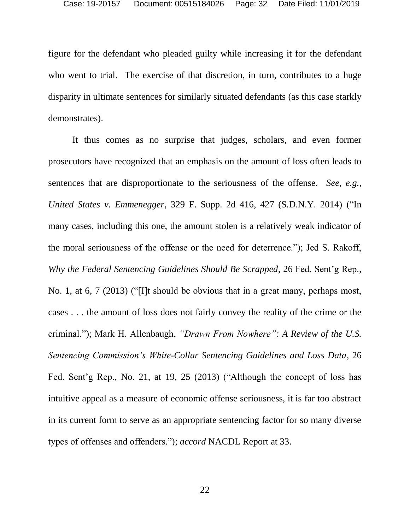figure for the defendant who pleaded guilty while increasing it for the defendant who went to trial. The exercise of that discretion, in turn, contributes to a huge disparity in ultimate sentences for similarly situated defendants (as this case starkly demonstrates).

It thus comes as no surprise that judges, scholars, and even former prosecutors have recognized that an emphasis on the amount of loss often leads to sentences that are disproportionate to the seriousness of the offense. *See, e.g.*, *United States v. Emmenegger*, 329 F. Supp. 2d 416, 427 (S.D.N.Y. 2014) ("In many cases, including this one, the amount stolen is a relatively weak indicator of the moral seriousness of the offense or the need for deterrence."); Jed S. Rakoff, *Why the Federal Sentencing Guidelines Should Be Scrapped*, 26 Fed. Sent'g Rep., No. 1, at 6, 7 (2013) ("[I]t should be obvious that in a great many, perhaps most, cases . . . the amount of loss does not fairly convey the reality of the crime or the criminal."); Mark H. Allenbaugh, *"Drawn From Nowhere": A Review of the U.S. Sentencing Commission's White-Collar Sentencing Guidelines and Loss Data*, 26 Fed. Sent'g Rep., No. 21, at 19, 25 (2013) ("Although the concept of loss has intuitive appeal as a measure of economic offense seriousness, it is far too abstract in its current form to serve as an appropriate sentencing factor for so many diverse types of offenses and offenders."); *accord* NACDL Report at 33.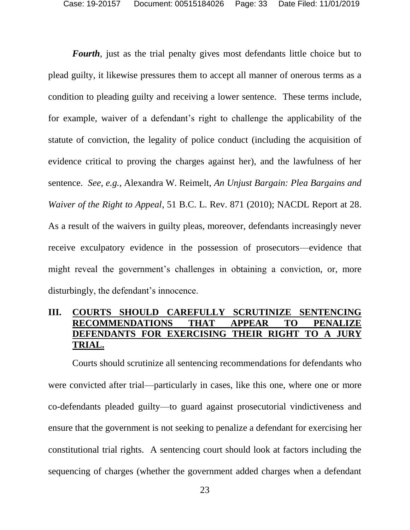*Fourth*, just as the trial penalty gives most defendants little choice but to plead guilty, it likewise pressures them to accept all manner of onerous terms as a condition to pleading guilty and receiving a lower sentence. These terms include, for example, waiver of a defendant's right to challenge the applicability of the statute of conviction, the legality of police conduct (including the acquisition of evidence critical to proving the charges against her), and the lawfulness of her sentence. *See, e.g.*, Alexandra W. Reimelt, *An Unjust Bargain: Plea Bargains and Waiver of the Right to Appeal*, 51 B.C. L. Rev. 871 (2010); NACDL Report at 28. As a result of the waivers in guilty pleas, moreover, defendants increasingly never receive exculpatory evidence in the possession of prosecutors—evidence that might reveal the government's challenges in obtaining a conviction, or, more disturbingly, the defendant's innocence.

### <span id="page-32-0"></span>**III. COURTS SHOULD CAREFULLY SCRUTINIZE SENTENCING RECOMMENDATIONS THAT APPEAR TO PENALIZE DEFENDANTS FOR EXERCISING THEIR RIGHT TO A JURY TRIAL.**

Courts should scrutinize all sentencing recommendations for defendants who were convicted after trial—particularly in cases, like this one, where one or more co-defendants pleaded guilty—to guard against prosecutorial vindictiveness and ensure that the government is not seeking to penalize a defendant for exercising her constitutional trial rights. A sentencing court should look at factors including the sequencing of charges (whether the government added charges when a defendant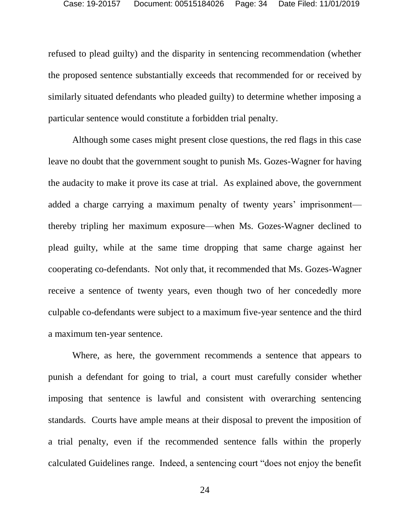refused to plead guilty) and the disparity in sentencing recommendation (whether the proposed sentence substantially exceeds that recommended for or received by similarly situated defendants who pleaded guilty) to determine whether imposing a particular sentence would constitute a forbidden trial penalty.

Although some cases might present close questions, the red flags in this case leave no doubt that the government sought to punish Ms. Gozes-Wagner for having the audacity to make it prove its case at trial. As explained above, the government added a charge carrying a maximum penalty of twenty years' imprisonment thereby tripling her maximum exposure—when Ms. Gozes-Wagner declined to plead guilty, while at the same time dropping that same charge against her cooperating co-defendants. Not only that, it recommended that Ms. Gozes-Wagner receive a sentence of twenty years, even though two of her concededly more culpable co-defendants were subject to a maximum five-year sentence and the third a maximum ten-year sentence.

Where, as here, the government recommends a sentence that appears to punish a defendant for going to trial, a court must carefully consider whether imposing that sentence is lawful and consistent with overarching sentencing standards. Courts have ample means at their disposal to prevent the imposition of a trial penalty, even if the recommended sentence falls within the properly calculated Guidelines range. Indeed, a sentencing court "does not enjoy the benefit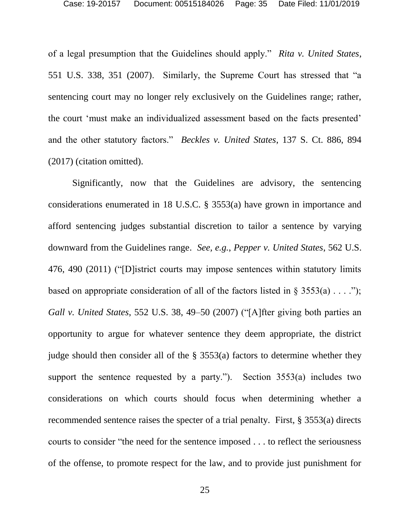of a legal presumption that the Guidelines should apply." *Rita v. United States*, 551 U.S. 338, 351 (2007). Similarly, the Supreme Court has stressed that "a sentencing court may no longer rely exclusively on the Guidelines range; rather, the court 'must make an individualized assessment based on the facts presented' and the other statutory factors." *Beckles v. United States*, 137 S. Ct. 886, 894 (2017) (citation omitted).

Significantly, now that the Guidelines are advisory, the sentencing considerations enumerated in 18 U.S.C. § 3553(a) have grown in importance and afford sentencing judges substantial discretion to tailor a sentence by varying downward from the Guidelines range. *See, e.g.*, *Pepper v. United States*, 562 U.S. 476, 490 (2011) ("[D]istrict courts may impose sentences within statutory limits based on appropriate consideration of all of the factors listed in  $\S$  3553(a) . . . ."); *Gall v. United States*, 552 U.S. 38, 49–50 (2007) ("[A]fter giving both parties an opportunity to argue for whatever sentence they deem appropriate, the district judge should then consider all of the § 3553(a) factors to determine whether they support the sentence requested by a party."). Section 3553(a) includes two considerations on which courts should focus when determining whether a recommended sentence raises the specter of a trial penalty. First, § 3553(a) directs courts to consider "the need for the sentence imposed . . . to reflect the seriousness of the offense, to promote respect for the law, and to provide just punishment for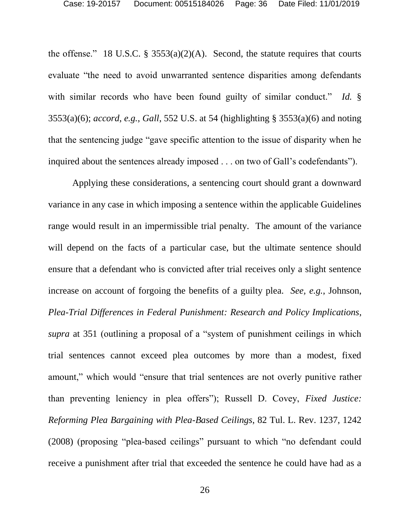the offense." 18 U.S.C.  $\S$  3553(a)(2)(A). Second, the statute requires that courts evaluate "the need to avoid unwarranted sentence disparities among defendants with similar records who have been found guilty of similar conduct." *Id.* § 3553(a)(6); *accord*, *e.g.*, *Gall*, 552 U.S. at 54 (highlighting § 3553(a)(6) and noting that the sentencing judge "gave specific attention to the issue of disparity when he inquired about the sentences already imposed . . . on two of Gall's codefendants").

Applying these considerations, a sentencing court should grant a downward variance in any case in which imposing a sentence within the applicable Guidelines range would result in an impermissible trial penalty. The amount of the variance will depend on the facts of a particular case, but the ultimate sentence should ensure that a defendant who is convicted after trial receives only a slight sentence increase on account of forgoing the benefits of a guilty plea. *See, e.g.*, Johnson, *Plea-Trial Differences in Federal Punishment: Research and Policy Implications*, *supra* at 351 (outlining a proposal of a "system of punishment ceilings in which trial sentences cannot exceed plea outcomes by more than a modest, fixed amount," which would "ensure that trial sentences are not overly punitive rather than preventing leniency in plea offers"); Russell D. Covey, *Fixed Justice: Reforming Plea Bargaining with Plea-Based Ceilings*, 82 Tul. L. Rev. 1237, 1242 (2008) (proposing "plea-based ceilings" pursuant to which "no defendant could receive a punishment after trial that exceeded the sentence he could have had as a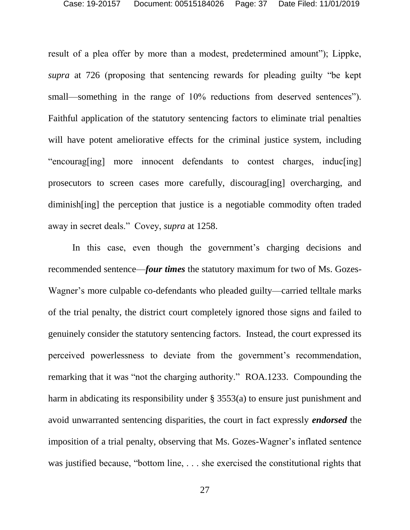result of a plea offer by more than a modest, predetermined amount"); Lippke, *supra* at 726 (proposing that sentencing rewards for pleading guilty "be kept small—something in the range of 10% reductions from deserved sentences"). Faithful application of the statutory sentencing factors to eliminate trial penalties will have potent ameliorative effects for the criminal justice system, including "encourag[ing] more innocent defendants to contest charges, induc[ing] prosecutors to screen cases more carefully, discourag[ing] overcharging, and diminish[ing] the perception that justice is a negotiable commodity often traded away in secret deals." Covey, *supra* at 1258.

In this case, even though the government's charging decisions and recommended sentence—*four times* the statutory maximum for two of Ms. Gozes-Wagner's more culpable co-defendants who pleaded guilty—carried telltale marks of the trial penalty, the district court completely ignored those signs and failed to genuinely consider the statutory sentencing factors. Instead, the court expressed its perceived powerlessness to deviate from the government's recommendation, remarking that it was "not the charging authority." ROA.1233. Compounding the harm in abdicating its responsibility under § 3553(a) to ensure just punishment and avoid unwarranted sentencing disparities, the court in fact expressly *endorsed* the imposition of a trial penalty, observing that Ms. Gozes-Wagner's inflated sentence was justified because, "bottom line, . . . she exercised the constitutional rights that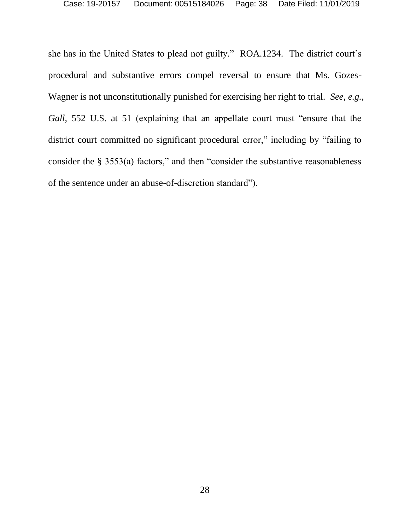she has in the United States to plead not guilty." ROA.1234. The district court's procedural and substantive errors compel reversal to ensure that Ms. Gozes-Wagner is not unconstitutionally punished for exercising her right to trial. *See, e.g.*, *Gall*, 552 U.S. at 51 (explaining that an appellate court must "ensure that the district court committed no significant procedural error," including by "failing to consider the § 3553(a) factors," and then "consider the substantive reasonableness of the sentence under an abuse-of-discretion standard").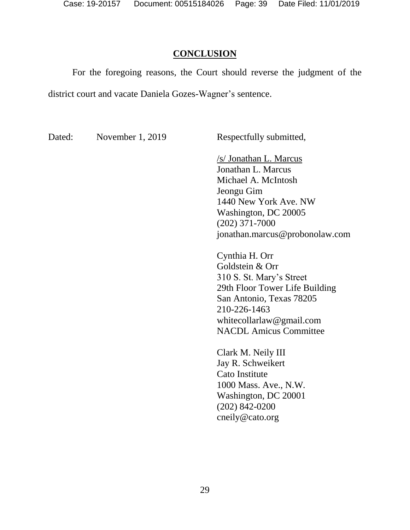#### **CONCLUSION**

<span id="page-38-0"></span>For the foregoing reasons, the Court should reverse the judgment of the district court and vacate Daniela Gozes-Wagner's sentence.

Dated: November 1, 2019 Respectfully submitted,

/s/ Jonathan L. Marcus Jonathan L. Marcus Michael A. McIntosh Jeongu Gim 1440 New York Ave. NW Washington, DC 20005 (202) 371-7000 jonathan.marcus@probonolaw.com

Cynthia H. Orr Goldstein & Orr 310 S. St. Mary's Street 29th Floor Tower Life Building San Antonio, Texas 78205 210-226-1463 [whitecollarlaw@gmail.com](mailto:whitecollarlaw@gmail.com) NACDL Amicus Committee

Clark M. Neily III Jay R. Schweikert Cato Institute 1000 Mass. Ave., N.W. Washington, DC 20001 (202) 842-0200 cneily@cato.org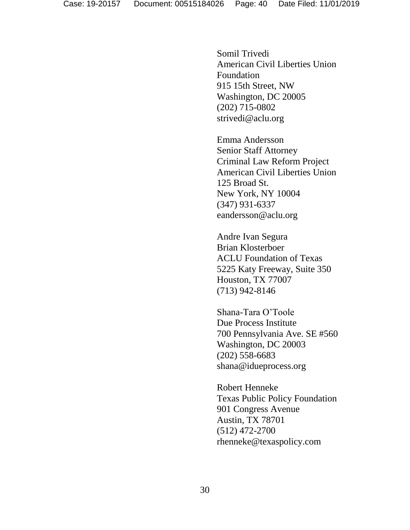Somil Trivedi American Civil Liberties Union Foundation 915 15th Street, NW Washington, DC 20005 (202) 715-0802 strivedi@aclu.org

Emma Andersson Senior Staff Attorney Criminal Law Reform Project American Civil Liberties Union 125 Broad St. New York, NY 10004 (347) 931-6337 eandersson@aclu.org

Andre Ivan Segura Brian Klosterboer ACLU Foundation of Texas 5225 Katy Freeway, Suite 350 Houston, TX 77007 (713) 942-8146

Shana-Tara O'Toole Due Process Institute 700 Pennsylvania Ave. SE #560 Washington, DC 20003 (202) 558-6683 shana@idueprocess.org

Robert Henneke Texas Public Policy Foundation 901 Congress Avenue Austin, TX 78701 (512) 472-2700 rhenneke@texaspolicy.com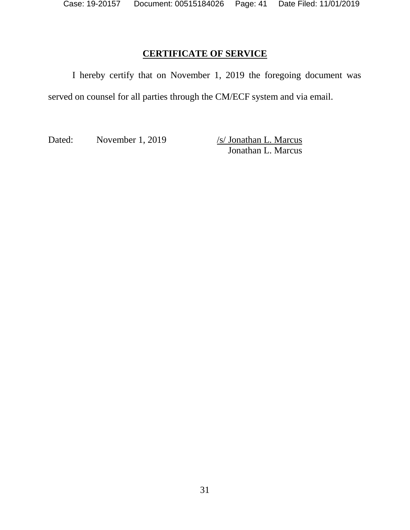# **CERTIFICATE OF SERVICE**

I hereby certify that on November 1, 2019 the foregoing document was served on counsel for all parties through the CM/ECF system and via email.

Dated: November 1, 2019 /s/ Jonathan L. Marcus

Jonathan L. Marcus